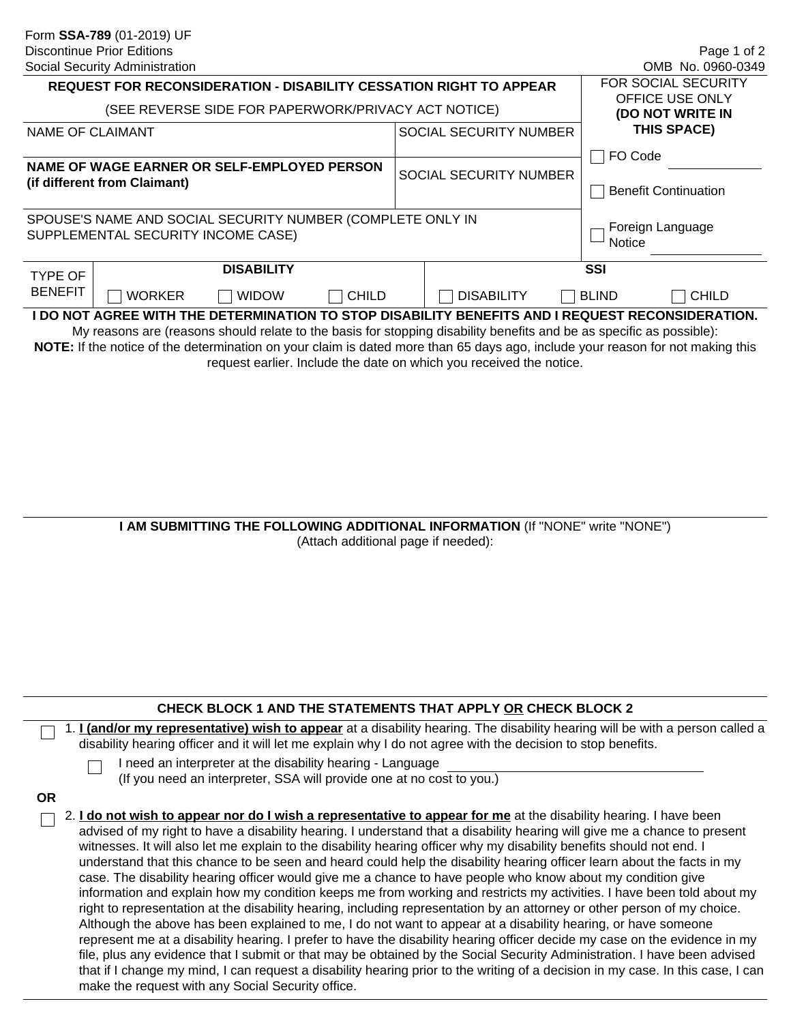| Social Security Administration                                                                                                                                                                                                                                                                                                |                              |              |                        |                               |                   |             |                                   | OMB No. 0960-0349                      |  |
|-------------------------------------------------------------------------------------------------------------------------------------------------------------------------------------------------------------------------------------------------------------------------------------------------------------------------------|------------------------------|--------------|------------------------|-------------------------------|-------------------|-------------|-----------------------------------|----------------------------------------|--|
| <b>REQUEST FOR RECONSIDERATION - DISABILITY CESSATION RIGHT TO APPEAR</b>                                                                                                                                                                                                                                                     |                              |              |                        |                               |                   |             |                                   | FOR SOCIAL SECURITY<br>OFFICE USE ONLY |  |
| (SEE REVERSE SIDE FOR PAPERWORK/PRIVACY ACT NOTICE)                                                                                                                                                                                                                                                                           |                              |              |                        |                               |                   |             | (DO NOT WRITE IN                  |                                        |  |
| NAME OF CLAIMANT                                                                                                                                                                                                                                                                                                              |                              |              |                        | <b>SOCIAL SECURITY NUMBER</b> |                   | THIS SPACE) |                                   |                                        |  |
| NAME OF WAGE EARNER OR SELF-EMPLOYED PERSON                                                                                                                                                                                                                                                                                   |                              |              | SOCIAL SECURITY NUMBER |                               | FO Code           |             |                                   |                                        |  |
|                                                                                                                                                                                                                                                                                                                               | (if different from Claimant) |              |                        |                               |                   |             |                                   | <b>Benefit Continuation</b>            |  |
| SPOUSE'S NAME AND SOCIAL SECURITY NUMBER (COMPLETE ONLY IN<br>SUPPLEMENTAL SECURITY INCOME CASE)                                                                                                                                                                                                                              |                              |              |                        |                               |                   |             | Foreign Language<br><b>Notice</b> |                                        |  |
| TYPE OF<br><b>BENEFIT</b>                                                                                                                                                                                                                                                                                                     | <b>DISABILITY</b>            |              |                        |                               | <b>SSI</b>        |             |                                   |                                        |  |
|                                                                                                                                                                                                                                                                                                                               | <b>WORKER</b>                | <b>WIDOW</b> | <b>CHILD</b>           |                               | <b>DISABILITY</b> |             | <b>BLIND</b>                      | <b>CHILD</b>                           |  |
| DO NOT AGREE WITH THE DETERMINATION TO STOP DISABILITY BENEFITS AND I REQUEST RECONSIDERATION.                                                                                                                                                                                                                                |                              |              |                        |                               |                   |             |                                   |                                        |  |
| My reasons are (reasons should relate to the basis for stopping disability benefits and be as specific as possible):<br>NOTE: If the notice of the determination on your claim is dated more than 65 days ago, include your reason for not making this<br>request earlier. Include the date on which you received the notice. |                              |              |                        |                               |                   |             |                                   |                                        |  |
|                                                                                                                                                                                                                                                                                                                               |                              |              |                        |                               |                   |             |                                   |                                        |  |

**I AM SUBMITTING THE FOLLOWING ADDITIONAL INFORMATION (If "NONE" write "NONE")** (Attach additional page if needed):

| <b>CHECK BLOCK 1 AND THE STATEMENTS THAT APPLY OR CHECK BLOCK 2</b>                                                                                                                                                                                                                                                                                                                                                                                                                                                                                                                                                                                                                                                                                                                                                                                                                                                                                                                                                                                                                                                                                                                                                                                                                                                                                                                                                                      |
|------------------------------------------------------------------------------------------------------------------------------------------------------------------------------------------------------------------------------------------------------------------------------------------------------------------------------------------------------------------------------------------------------------------------------------------------------------------------------------------------------------------------------------------------------------------------------------------------------------------------------------------------------------------------------------------------------------------------------------------------------------------------------------------------------------------------------------------------------------------------------------------------------------------------------------------------------------------------------------------------------------------------------------------------------------------------------------------------------------------------------------------------------------------------------------------------------------------------------------------------------------------------------------------------------------------------------------------------------------------------------------------------------------------------------------------|
| 1. I (and/or my representative) wish to appear at a disability hearing. The disability hearing will be with a person called a<br>disability hearing officer and it will let me explain why I do not agree with the decision to stop benefits.                                                                                                                                                                                                                                                                                                                                                                                                                                                                                                                                                                                                                                                                                                                                                                                                                                                                                                                                                                                                                                                                                                                                                                                            |
| I need an interpreter at the disability hearing - Language                                                                                                                                                                                                                                                                                                                                                                                                                                                                                                                                                                                                                                                                                                                                                                                                                                                                                                                                                                                                                                                                                                                                                                                                                                                                                                                                                                               |
| (If you need an interpreter, SSA will provide one at no cost to you.)                                                                                                                                                                                                                                                                                                                                                                                                                                                                                                                                                                                                                                                                                                                                                                                                                                                                                                                                                                                                                                                                                                                                                                                                                                                                                                                                                                    |
| <b>OR</b>                                                                                                                                                                                                                                                                                                                                                                                                                                                                                                                                                                                                                                                                                                                                                                                                                                                                                                                                                                                                                                                                                                                                                                                                                                                                                                                                                                                                                                |
| 2. I do not wish to appear nor do I wish a representative to appear for me at the disability hearing. I have been<br>advised of my right to have a disability hearing. I understand that a disability hearing will give me a chance to present<br>witnesses. It will also let me explain to the disability hearing officer why my disability benefits should not end. I<br>understand that this chance to be seen and heard could help the disability hearing officer learn about the facts in my<br>case. The disability hearing officer would give me a chance to have people who know about my condition give<br>information and explain how my condition keeps me from working and restricts my activities. I have been told about my<br>right to representation at the disability hearing, including representation by an attorney or other person of my choice.<br>Although the above has been explained to me, I do not want to appear at a disability hearing, or have someone<br>represent me at a disability hearing. I prefer to have the disability hearing officer decide my case on the evidence in my<br>file, plus any evidence that I submit or that may be obtained by the Social Security Administration. I have been advised<br>that if I change my mind, I can request a disability hearing prior to the writing of a decision in my case. In this case, I can<br>make the request with any Social Security office. |